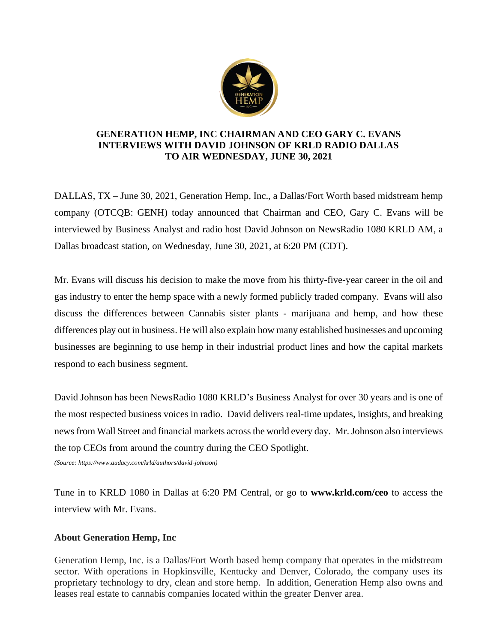

## **GENERATION HEMP, INC CHAIRMAN AND CEO GARY C. EVANS INTERVIEWS WITH DAVID JOHNSON OF KRLD RADIO DALLAS TO AIR WEDNESDAY, JUNE 30, 2021**

DALLAS, TX – June 30, 2021, Generation Hemp, Inc., a Dallas/Fort Worth based midstream hemp company (OTCQB: GENH) today announced that Chairman and CEO, Gary C. Evans will be interviewed by Business Analyst and radio host David Johnson on NewsRadio 1080 KRLD AM, a Dallas broadcast station, on Wednesday, June 30, 2021, at 6:20 PM (CDT).

Mr. Evans will discuss his decision to make the move from his thirty-five-year career in the oil and gas industry to enter the hemp space with a newly formed publicly traded company. Evans will also discuss the differences between Cannabis sister plants - marijuana and hemp, and how these differences play out in business. He will also explain how many established businesses and upcoming businesses are beginning to use hemp in their industrial product lines and how the capital markets respond to each business segment.

David Johnson has been NewsRadio 1080 KRLD's Business Analyst for over 30 years and is one of the most respected business voices in radio. David delivers real-time updates, insights, and breaking news from Wall Street and financial markets across the world every day. Mr. Johnson also interviews the top CEOs from around the country during the CEO Spotlight.

*(Source: https://www.audacy.com/krld/authors/david-johnson)*

Tune in to KRLD 1080 in Dallas at 6:20 PM Central, or go to **[www.krld.com/ceo](http://www.krld.com/ceo)** to access the interview with Mr. Evans.

## **About Generation Hemp, Inc**

Generation Hemp, Inc. is a Dallas/Fort Worth based hemp company that operates in the midstream sector. With operations in Hopkinsville, Kentucky and Denver, Colorado, the company uses its proprietary technology to dry, clean and store hemp. In addition, Generation Hemp also owns and leases real estate to cannabis companies located within the greater Denver area.